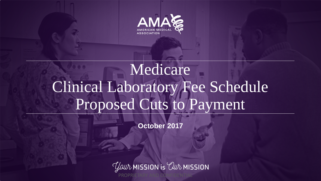

# Medicare Clinical Laboratory Fee Schedule Proposed Cuts to Payment

**October 2017** 

Your MISSION is Our MISSION PROPRIETARY AND CONFIDENTIAL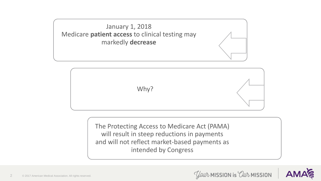January 1, 2018 Medicare **patient access** to clinical testing may markedly **decrease**



The Protecting Access to Medicare Act (PAMA) will result in steep reductions in payments and will not reflect market-based payments as intended by Congress



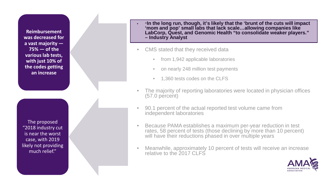**Reimbursement was decreased for a vast majority — 75% — of the various lab tests, with just 10% of the codes getting an increase**

The proposed "2018 industry cut is near the worst case, with 2019 likely not providing much relief."

- **"In the long run, though, it's likely that the 'brunt of the cuts will impact 'mom and pop' small labs that lack scale…allowing companies like LabCorp, Quest, and Genomic Health "to consolidate weaker players." – Industry Analyst**
- CMS stated that they received data from 1,942 applicable laboratories on nearly 248 million test payments
	-
	-
	- 1,360 tests codes on the CLFS
- The majority of reporting laboratories were located in physician offices (57.0 percent)
- 90.1 percent of the actual reported test volume came from independent laboratories
- Because PAMA establishes a maximum per -year reduction in test rates, 58 percent of tests (those declining by more than 10 percent) will have their reductions phased in over multiple years
- Meanwhile, approximately 10 percent of tests will receive an increase relative to the 2017 CLFS

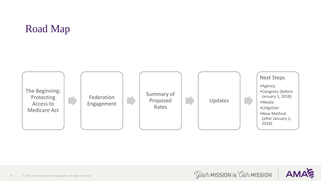### Road Map



*Your* MISSION is *Our* MISSION

**AMA**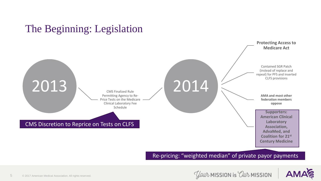### The Beginning: Legislation



© 2017 American Medical Association. All rights reserved. 5

*Your* MISSION is *Our* MISSION

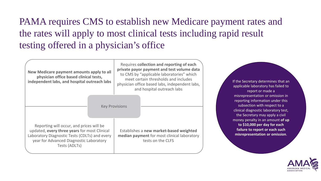#### PAMA requires CMS to establish new Medicare payment rates and the rates will apply to most clinical tests including rapid result testing offered in a physician's office



If the Secretary determines that an applicable laboratory has failed to report or made a misrepresentation or omission in reporting information under this subsection with respect to a clinical diagnostic laboratory test, the Secretary may apply a civil money penalty in an amount **of up to \$10,000 per day for each failure to report or each such misrepresentation or omission**.

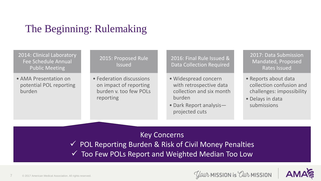# The Beginning: Rulemaking

2014: Clinical Laboratory Fee Schedule Annual Public Meeting

• AMA Presentation on potential POL reporting burden

2015: Proposed Rule Issued

• Federation discussions on impact of reporting burden v. too few POLs reporting

2016: Final Rule Issued & Data Collection Required

- Widespread concern with retrospective data collection and six month burden
- Dark Report analysis projected cuts

2017: Data Submission Mandated, Proposed Rates Issued

- Reports about data collection confusion and challenges: impossibility
- Delays in data submissions

*Your* MISSION is Our MISSION

#### Key Concerns

- $\checkmark$  POL Reporting Burden & Risk of Civil Money Penalties
- $\checkmark$  Too Few POLs Report and Weighted Median Too Low

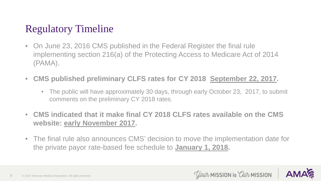# Regulatory Timeline

- On June 23, 2016 CMS published in the Federal Register the final rule implementing section 216(a) of the Protecting Access to Medicare Act of 2014 (PAMA).
- **CMS published preliminary CLFS rates for CY 2018 September 22, 2017.** 
	- The public will have approximately 30 days, through early October 23, 2017, to submit comments on the preliminary CY 2018 rates.
- **CMS indicated that it make final CY 2018 CLFS rates available on the CMS website: early November 2017.**
- The final rule also announces CMS' decision to move the implementation date for the private payor rate-based fee schedule to **January 1, 2018.**



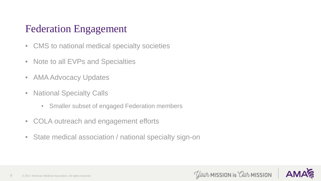#### Federation Engagement

- CMS to national medical specialty societies
- Note to all EVPs and Specialties
- AMA Advocacy Updates
- National Specialty Calls
	- Smaller subset of engaged Federation members
- COLA outreach and engagement efforts
- State medical association / national specialty sign-on



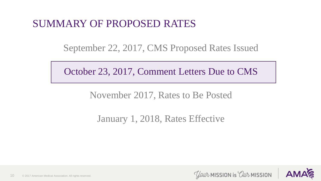#### SUMMARY OF PROPOSED RATES

September 22, 2017, CMS Proposed Rates Issued

October 23, 2017, Comment Letters Due to CMS

November 2017, Rates to Be Posted

January 1, 2018, Rates Effective



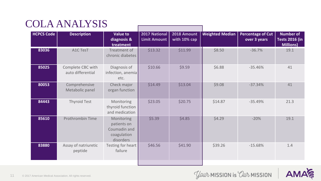# COLA ANALYSIS

| <b>HCPCS Code</b> | <b>Description</b>                     | <b>Value to</b><br>diagnosis &<br>treatment                           | 2017 National<br><b>Limit Amount</b> | 2018 Amount<br>with 10% cap | <b>Weighted Median</b> | <b>Percentage of Cut</b><br>over 3 years | <b>Number of</b><br><b>Tests 2016 (in</b><br><b>Millions)</b> |
|-------------------|----------------------------------------|-----------------------------------------------------------------------|--------------------------------------|-----------------------------|------------------------|------------------------------------------|---------------------------------------------------------------|
| 83036             | A1C TesT                               | Treatment of<br>chronic diabetes                                      | \$13.32                              | \$11.99                     | \$8.50                 | $-36.7%$                                 | 19.1                                                          |
| 85025             | Complete CBC with<br>auto differential | Diagnosis of<br>infection, anemia<br>etc.                             | \$10.66                              | \$9.59                      | \$6.88                 | $-35.46%$                                | 41                                                            |
| 80053             | Comprehensive<br>Metabolic panel       | Check major<br>organ function                                         | \$14.49                              | \$13.04                     | \$9.08                 | $-37.34%$                                | 41                                                            |
| 84443             | Thyroid Test                           | Monitoring<br>thyroid function<br>and medication                      | \$23.05                              | \$20.75                     | \$14.87                | $-35.49%$                                | 21.3                                                          |
| 85610             | Prothrombin Time                       | Monitoring<br>patients on<br>Coumadin and<br>coagulation<br>disorders | \$5.39                               | \$4.85                      | \$4.29                 | $-20%$                                   | 19.1                                                          |
| 83880             | Assay of natriuretic<br>peptide        | Testing for heart<br>failure                                          | \$46.56                              | \$41.90                     | \$39.26                | $-15.68%$                                | 1.4                                                           |



**AMA**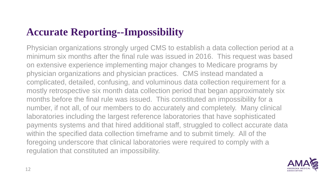# **Accurate Reporting--Impossibility**

Physician organizations strongly urged CMS to establish a data collection period at a minimum six months after the final rule was issued in 2016. This request was based on extensive experience implementing major changes to Medicare programs by physician organizations and physician practices. CMS instead mandated a complicated, detailed, confusing, and voluminous data collection requirement for a mostly retrospective six month data collection period that began approximately six months before the final rule was issued. This constituted an impossibility for a number, if not all, of our members to do accurately and completely. Many clinical laboratories including the largest reference laboratories that have sophisticated payments systems and that hired additional staff, struggled to collect accurate data within the specified data collection timeframe and to submit timely. All of the foregoing underscore that clinical laboratories were required to comply with a regulation that constituted an impossibility.

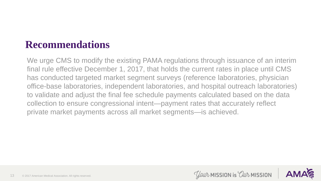### **Recommendations**

We urge CMS to modify the existing PAMA regulations through issuance of an interim final rule effective December 1, 2017, that holds the current rates in place until CMS has conducted targeted market segment surveys (reference laboratories, physician office-base laboratories, independent laboratories, and hospital outreach laboratories) to validate and adjust the final fee schedule payments calculated based on the data collection to ensure congressional intent—payment rates that accurately reflect private market payments across all market segments—is achieved.

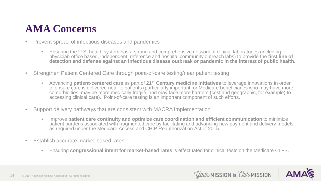# **AMA Concerns**

- Prevent spread of infectious diseases and pandemics
	- Ensuring the U.S. health system has a strong and comprehensive network of clinical laboratories (including physician office based, independent, reference and hospital community outreach labs) to provide the **first line of detection and defense against an infectious disease outbreak or pandemic in the interest of public health.**
- Strengthen Patient Centered Care through point-of-care testing/near patient testing
	- Advancing **patient-centered care** as part of **21st Century medicine initiatives** to leverage innovations in order to ensure care is delivered near to patients (particularly important for Medicare beneficiaries who may have more comorbidities, may be more medically fragile, and may face more barriers (cost and geographic, for example) to accessing clinical care). Point-of-care testing is an important component of such efforts.
- Support delivery pathways that are consistent with MACRA Implementation
	- Improve **patient care continuity and optimize care coordination and efficient communication** to minimize patient burdens associated with fragmented care by facilitating and advancing new payment and delivery models as required under the Medicare Access and CHIP Reauthorization Act of 2015.
- Establish accurate market-based rates
	- Ensuring **congressional intent for market-based rates** is effectuated for clinical tests on the Medicare CLFS.



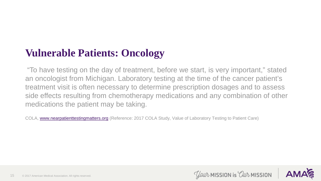# **Vulnerable Patients: Oncology**

"To have testing on the day of treatment, before we start, is very important," stated an oncologist from Michigan. Laboratory testing at the time of the cancer patient's treatment visit is often necessary to determine prescription dosages and to assess side effects resulting from chemotherapy medications and any combination of other medications the patient may be taking.

COLA, [www.nearpatienttestingmatters.org](http://www.nearpatienttestingmatters.org/) (Reference: 2017 COLA Study, Value of Laboratory Testing to Patient Care)



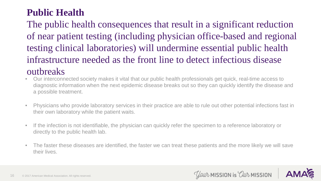#### **Public Health**

The public health consequences that result in a significant reduction of near patient testing (including physician office-based and regional testing clinical laboratories) will undermine essential public health infrastructure needed as the front line to detect infectious disease outbreaks

- Our interconnected society makes it vital that our public health professionals get quick, real-time access to diagnostic information when the next epidemic disease breaks out so they can quickly identify the disease and a possible treatment.
- Physicians who provide laboratory services in their practice are able to rule out other potential infections fast in their own laboratory while the patient waits.
- If the infection is not identifiable, the physician can quickly refer the specimen to a reference laboratory or directly to the public health lab.
- The faster these diseases are identified, the faster we can treat these patients and the more likely we will save their lives.



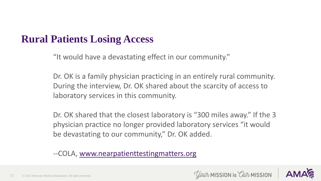# **Rural Patients Losing Access**

"It would have a devastating effect in our community."

Dr. OK is a family physician practicing in an entirely rural community. During the interview, Dr. OK shared about the scarcity of access to laboratory services in this community.

Dr. OK shared that the closest laboratory is "300 miles away." If the 3 physician practice no longer provided laboratory services "it would be devastating to our community," Dr. OK added.

--COLA, [www.nearpatienttestingmatters.org](http://www.nearpatienttestingmatters.org/)



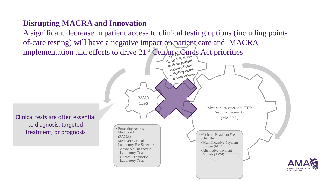#### **Disrupting MACRA and Innovation**

A significant decrease in patient access to clinical testing options (including pointof-care testing) will have a negative impact on patient care and MACRA implementation and efforts to drive  $21^{st}$  Century Cures Act priorities

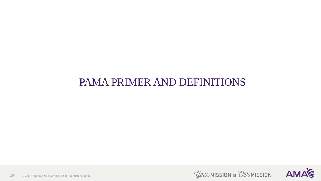#### PAMA PRIMER AND DEFINITIONS



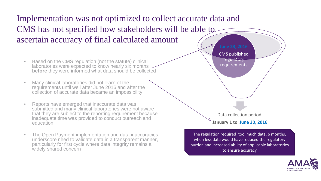Implementation was not optimized to collect accurate data and CMS has not specified how stakeholders will be able to ascertain accuracy of final calculated amount

- Based on the CMS regulation (not the statute) clinical regulation (not the statute) clinical requirements **before** they were informed what data should be collected
- Many clinical laboratories did not learn of the requirements until well after June 2016 and after the collection of accurate data became an impossibility
- Reports have emerged that inaccurate data was submitted and many clinical laboratories were not aware that they are subject to the reporting requirement because inadequate time was provided to conduct outreach and education
- The Open Payment implementation and data inaccuracies underscore need to validate data in a transparent manner, particularly for first cycle where data integrity remains a widely shared concern

CMS published regulatory

Data collection period: **January 1 to June 30, 2016** 

The regulation required too much data, 6 months, when less data would have reduced the regulatory burden and increased ability of applicable laboratories to ensure accuracy

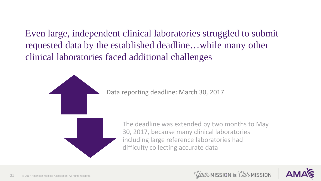Even large, independent clinical laboratories struggled to submit requested data by the established deadline…while many other clinical laboratories faced additional challenges

Data reporting deadline: March 30, 2017



The deadline was extended by two months to May 30, 2017, because many clinical laboratories including large reference laboratories had difficulty collecting accurate data



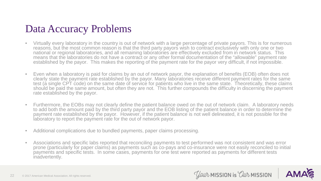#### Data Accuracy Problems

- Virtually every laboratory in the country is out of network with a large percentage of private payors. This is for numerous reasons, but the most common reason is that the third party payors wish to contract exclusively with only one or two national or regional laboratories, and all remaining laboratories are effectively excluded from in network status. This means that the laboratories do not have a contract or any other formal documentation of the "allowable" payment rate established by the payor. This makes the reporting of the payment rate for the payor very difficult, if not impossible.
- Even when a laboratory is paid for claims by an out of network payor, the explanation of benefits (EOB) often does not clearly state the payment rate established by the payor. Many laboratories receive different payment rates for the same test (a single CPT code) on the same date of service for patients who live in the same state. Theoretically, these claims should be paid the same amount, but often they are not. This further compounds the difficulty in discerning the payment rate established by the payor.
- Furthermore, the EOBs may not clearly define the patient balance owed on the out of network claim. A laboratory needs to add both the amount paid by the third party payor and the EOB listing of the patient balance in order to determine the payment rate established by the payor. However, if the patient balance is not well delineated, it is not possible for the laboratory to report the payment rate for the out of network payor.
- Additional complications due to bundled payments, paper claims processing.
- Associations and specific labs reported that reconciling payments to test performed was not consistent and was error prone (particularly for paper claims) as payments such as co-pays and co-insurance were not easily reconciled to initial payments and specific tests. In some cases, payments for one test were reported as payments for different tests inadvertently.



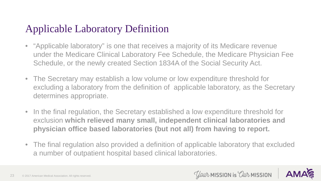# Applicable Laboratory Definition

- "Applicable laboratory" is one that receives a majority of its Medicare revenue under the Medicare Clinical Laboratory Fee Schedule, the Medicare Physician Fee Schedule, or the newly created Section 1834A of the Social Security Act.
- The Secretary may establish a low volume or low expenditure threshold for excluding a laboratory from the definition of applicable laboratory, as the Secretary determines appropriate.
- In the final regulation, the Secretary established a low expenditure threshold for exclusion **which relieved many small, independent clinical laboratories and physician office based laboratories (but not all) from having to report.**
- The final regulation also provided a definition of applicable laboratory that excluded a number of outpatient hospital based clinical laboratories.



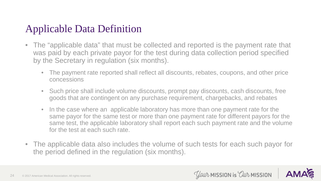# Applicable Data Definition

- The "applicable data" that must be collected and reported is the payment rate that was paid by each private payor for the test during data collection period specified by the Secretary in regulation (six months).
	- The payment rate reported shall reflect all discounts, rebates, coupons, and other price concessions
	- Such price shall include volume discounts, prompt pay discounts, cash discounts, free goods that are contingent on any purchase requirement, chargebacks, and rebates
	- In the case where an applicable laboratory has more than one payment rate for the same payor for the same test or more than one payment rate for different payors for the same test, the applicable laboratory shall report each such payment rate and the volume for the test at each such rate.
- The applicable data also includes the volume of such tests for each such payor for the period defined in the regulation (six months).



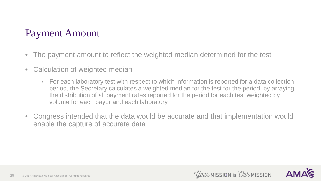# Payment Amount

25

- The payment amount to reflect the weighted median determined for the test
- Calculation of weighted median
	- For each laboratory test with respect to which information is reported for a data collection period, the Secretary calculates a weighted median for the test for the period, by arraying the distribution of all payment rates reported for the period for each test weighted by volume for each payor and each laboratory.
- Congress intended that the data would be accurate and that implementation would enable the capture of accurate data